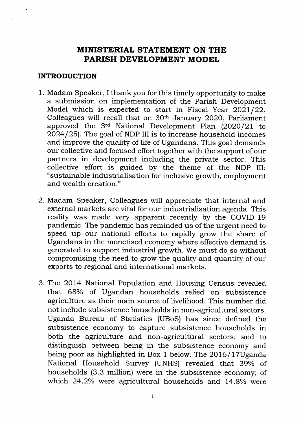## MINISTERIAL STATEMENT ON THE PARISH DEVELOPMENT MODEL

#### INTRODUCTION

- 1. Madam Speaker, I thank you for this timely opportunity to make a submission on implementation of the Parish Development Model which is expected to start in Fiscal Year  $2021/22$ . Colleagues will recall that on 3Oth January 2O2O, Parliament approved the  $3<sup>rd</sup>$  National Development Plan  $(2020/21)$  to 2024 / 25). The goal of NDP III is to increase household incomes and improve the quality of life of Ugandans. This goal demands our collective and focused effort together with the support of our partners in development including the private sector. This collective effort is guided by the theme of the NDP III: "sustainable industrialisation for inclusive growth, employment and wealth creation."
- 2. Madam Speaker, Colleagues will appreciate that internal and external markets are vital for our industrialisation agenda. This reality was made very apparent recently by the COVID- <sup>19</sup> pandemic. The pandemic has reminded us of the urgent need to speed up our national efforts to rapidly grow the share of Ugandans in the monetised economy where effective demand is generated to support industrial growth. We must do so without compromising the need to grow the quality and quantity of our exports to regional and international markets.
- 3. The 2OL4 National Population and Housing Census revealed that 68% of Ugandan households relied on subsistence agriculture as their main source of livelihood. This number did not include subsistence households in non-agricultural sectors. Uganda Bureau of Statistics (UBoS) has since defined the subsistence economy to capture subsistence households in both the agriculture and non-agricultural sectors; and to distinguish between being in the subsistence economy and being poor as highlighted in Box 1 below. The 2016/17Uganda National Household Survey (UNHS) revealed that 39% of households (3.3 million) were in the subsistence economy; of which 24.2% were agricultural households and 14.8% were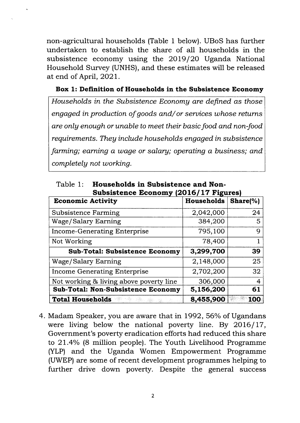non-agricultural households (Table 1 below). UBoS has further undertaken to establish the share of all households in the subsistence economy using the 2OL9 /2O Uganda National Household Survey (UNHS), and these estimates will be released at end of April, 2O2I.

#### Box 1: Definition of Households in the Subsistence Economy

Households in the Subsistence Economy are defined as those engaged in production of goods and/ or services whose returns are onlg enough or unable to meet their basic food and non-food requirements. They include households engaged in subsistence farming; earning a wage or salary; operating a business; and completelg not working.

| Subsistence Economy (2016/17 Figures)     |            |                |  |
|-------------------------------------------|------------|----------------|--|
| <b>Economic Activity</b>                  | Households | Share $(\%)$   |  |
| <b>Subsistence Farming</b>                | 2,042,000  | 24             |  |
| Wage/Salary Earning                       | 384,200    | 5              |  |
| <b>Income-Generating Enterprise</b>       | 795,100    | 9              |  |
| Not Working                               | 78,400     |                |  |
| <b>Sub-Total: Subsistence Economy</b>     | 3,299,700  | 39             |  |
| Wage/Salary Earning                       | 2,148,000  | 25             |  |
| <b>Income Generating Enterprise</b>       | 2,702,200  | 32             |  |
| Not working & living above poverty line   | 306,000    | $\overline{4}$ |  |
| <b>Sub-Total: Non-Subsistence Economy</b> | 5,156,200  | 61             |  |
| <b>Total Households</b>                   | 8,455,900  | <b>100</b>     |  |

Table 1: Households in Subsistence and Non-Subsistence Economy (2016/17 Figures

4. Madam Speaker, you are aware that in 1992, 56% of Ugandans were living below the national poverty line. By  $2016/17$ , Government's poverty eradication efforts had reduced this share to  $21.4\%$  (8 million people). The Youth Livelihood Programme (YLP) and the Uganda Women Empowerment Programme (UWEP) are some of recent development programmes helping to further drive down poverty. Despite the general success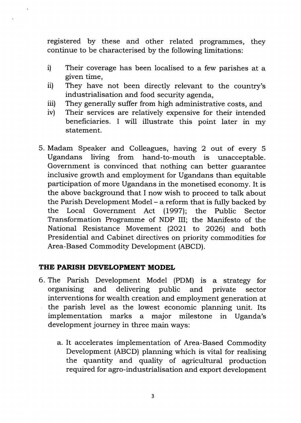registered by these and other related programmes, they continue to be characterised by the following limitations:

- i) Their coverage has been localised to a few parishes at a given time,
- They have not been directly relevant to the country's industrialisation and food security agenda, ii)
- They generally suffer from high administrative costs, and iii)
- Their services are relatively expensive for their intended beneficiaries. I will illustrate this point later in my statement.  $iv<sub>l</sub>$
- 5. Madam Speaker and Colleagues, having 2 out of every <sup>5</sup> Ugandans living from hand-to-mouth is unacceptable. Government is convinced that nothing can better guarantee inclusive growth and employment for Ugandans than equitable participation of more Ugandans in the monetised economy. It is the above background that I now wish to proceed to talk about the Parish Development Model – a reform that is fully backed by<br>the Local Government Act (1997); the Public Sector the Local Government Act (1997); Transformation Programme of NDP III; the Manifesto of the National Resistance Movement (2021 to 2026) and both Presidential and Cabinet directives on priority commodities for Area-Based Commodity Development (ABCD).

### THE PARISH DEVELOPMENT MODEL

- 6. The Parish Development Model (PDM) is a strategy for organising and delivering public and private sector interventions for wealth creation and employment generation at the parish level as the lowest economic planning unit. Its implementation marks a major milestone in Uganda's development journey in three main ways:
	- a. It accelerates implementation of Area-Based Commodity Development (ABCD) planning which is vital for realising the quantity and quality of agricultural production required for agro - industrialisation and export development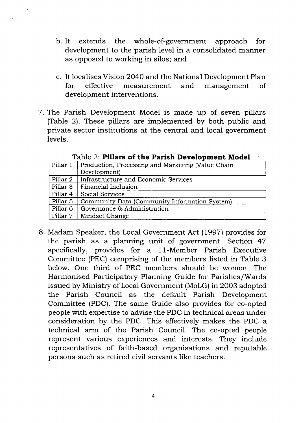- b. It extends the whole-of-government approach for development to the parish level in a consolidated manner as opposed to working in silos; and
- c. It localises Vision 2O4O and the National Development Plan for effective measurement and management of development interventions.
- <sup>7</sup>. The Parish Development Model is made up of seven pillars (Table 2). These pillars are implemented by both public and private sector institutions at the central and local government levels.

|                     | 10000 2. 4 MMMM VI 5MV A WANDA AFVTVAVDAAVIA MAVWYA |  |  |  |  |
|---------------------|-----------------------------------------------------|--|--|--|--|
| Pillar 1            | Production, Processing and Marketing (Value Chain   |  |  |  |  |
|                     | Development)                                        |  |  |  |  |
| Pillar 2            | Infrastructure and Economic Services                |  |  |  |  |
| Pillar <sub>3</sub> | Financial Inclusion                                 |  |  |  |  |
| Pillar 4            | Social Services                                     |  |  |  |  |
| Pillar 5            | Community Data (Community Information System)       |  |  |  |  |
| Pillar 6            | Governance & Administration                         |  |  |  |  |
| Pillar 7            | Mindset Change                                      |  |  |  |  |

Table  $2<sup>c</sup>$  Pillars of the Parish Development Model

8. Madam Speaker, the Local Government Act (1997) provides for the parish as a planning unit of government. Section <sup>47</sup> specifically, provides for a 11-Member Parish Executive Committee (PEC) comprising of the members listed in Table 3 below. One third of PEC members should be women. The Harmonised Participatory Planning Guide for Parishes/Wards issued by Ministry of Local Government (MoLG) in 2003 adopted the Parish Council as the default Parish Development Committee (PDC). The same Guide also provides for co-opted people with expertise to advise the PDC in technical areas under consideration by the PDC. This effectively makes the PDC a technical arm of the Parish Council. The co-opted people represent various experiences and interests. They include representatives of faith-based organisations and reputable persons such as retired civil servants like teachers.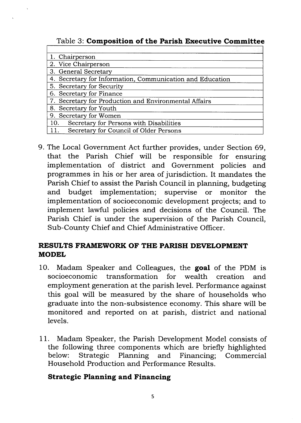|  | Table 3: Composition of the Parish Executive Committee |  |  |  |  |
|--|--------------------------------------------------------|--|--|--|--|
|--|--------------------------------------------------------|--|--|--|--|

| 1. Chairperson                                            |
|-----------------------------------------------------------|
| 2. Vice Chairperson                                       |
| 3. General Secretary                                      |
| 4. Secretary for Information, Communication and Education |
| 5. Secretary for Security                                 |
| 6. Secretary for Finance                                  |
| 7. Secretary for Production and Environmental Affairs     |
| 8. Secretary for Youth                                    |
| 9. Secretary for Women                                    |
| Secretary for Persons with Disabilities<br>10.            |
| 11.<br>Secretary for Council of Older Persons             |

9. The Local Government Act further provides, under Section 69, that the Parish Chief will be responsible for ensuring implementation of district and Government policies and programmes in his or her area of jurisdiction. It mandates the Parish Chief to assist the Parish Council in planning, budgeting and budget implementation; supervise or monitor the implementation of socioeconomic development projects; and to implement lawfu1 policies and decisions of the Council. The Parish Chief is under the supervision of the Parish Council, Sub-County Chief and Chief Administrative Officer.

## RESULTS FRAMEWORK OF THE PARISH DEVELOPMENT MODEL

- 10. Madam Speaker and Colleagues, the goal of the PDM is socioeconomic transformation for wealth creation and employment generation at the parish level. Performance against this goal will be measured by the share of households who graduate into the non-subsistence economy. This share will be monitored and reported on at parish, district and national levels.
- <sup>1</sup>1. Madam Speaker, the Parish Development Model consists of the following three components which are briefly highlighted below: Strategic Planning and Financing; Commercial Household Production and Performance Results.

### Strategic Planning and Financing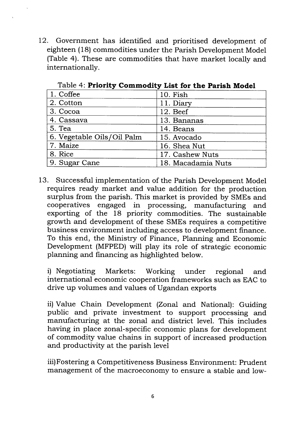12. Government has identified and prioritised development of eighteen (18) commodities under the Parish Development Model (Tab1e 4). These are commodities that have market locally and internationally.

| 1. Coffee                  | 10. Fish           |
|----------------------------|--------------------|
| 2. Cotton                  | 11. Diary          |
| 3. Cocoa                   | 12. Beef           |
| 4. Cassava                 | 13. Bananas        |
| 5. Tea                     | 14. Beans          |
| 6. Vegetable Oils/Oil Palm | 15. Avocado        |
| 7. Maize                   | 16. Shea Nut       |
| 8. Rice                    | 17. Cashew Nuts    |
| 9. Sugar Cane              | 18. Macadamia Nuts |

Table 4: Priority Commodity List for the Parish Model

13. Successful implementation of the Parish Development Model requires ready market and value addition for the production surplus from the parish. This market is provided by SMEs and cooperatives engaged in processing, manufacturing and exporting of the 18 priority commodities. The sustainable growth and development of these SMEs requires a competitive business environment including access to development finance. To this end, the Ministry of Finance, Planning and Economic Development (MFPED) will play its role of strategic economic planning and financing as highlighted below.

i) Negotiating Markets: Working under regional and international economic cooperation frameworks such as EAC to drive up volumes and values of Ugandan exports

ii) Value Chain Development (Zonal and National): Guiding public and private investment to support processing and manufacturing at the zonal and district level. This includes having in place zonal-specific economic plans for development of commodity value chains in support of increased production and productivity at the parish level

iii) Fostering a Competitiveness Business Environment: Prudent management of the macroeconomy to ensure a stable and low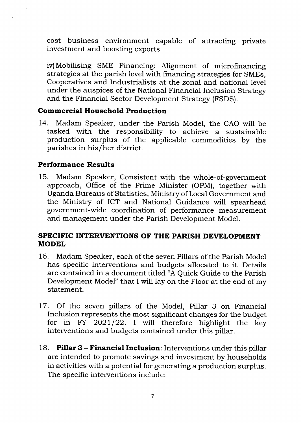cost business environment capable of attracting private investment and boosting exports

iv)Mobilising SME Financing: Alignment of microfinancing strategies at the parish level with financing strategies for SMEs, Cooperatives and Industrialists at the zonal and national level under the auspices of the National Financial Inclusion Strategr and the Financial Sector Development Strategy (FSDS).

### Commercial Household Production

L4. Madam Speaker, under the Parish Model, the CAO will be tasked with the responsibility to achieve a sustainable production surplus of the applicable commodities by the parishes in his/her district.

### Performance Results

15. Madam Speaker, Consistent with the whole-of-government approach, Office of the Prime Minister (OPM), together with Uganda Bureaus of Statistics, Ministry of Local Government and the Ministry of ICT and National Guidance will spearhead government-wide coordination of performance measurement and management under the Parish Development Model.

#### SPECIFIC INTERVENTIONS OF THE PARISH DEVELOPMENT MODEL

- 16. Madam Speaker, each of the seven Pillars of the Parish Model has specific interventions and budgets allocated to it. Details are contained in a document titled "A Quick Guide to the Parish Development Model" that I will lay on the Floor at the end of my statement.
- <sup>17</sup>. Of the seven pillars of the Model, Pillar 3 on Financial for in FY 2021/22. I will therefore highlight the key interventions and budgets contained under this piIIar.
- 18. Pillar 3 Financial Inclusion: Interventions under this pillar are intended to promote savings and investment by households in activities with a potential for generating a production surplus. The specific interventions include: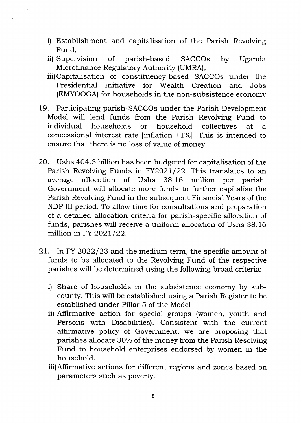- i) Establishment and capitalisation of the Parish Revolving Fund,
- ii) Supervision of parish-based SACCOs by Uganda Microfinance Regulatory Authority (UMRA),
- iii)Capitalisation of constituency-based SACCOs under the Presidential Initiative for Wealth Creation and Jobs (EMYOOGA) for households in the non-subsistence economy
- 19. Participating parish-SACCOs under the Parish Development Model will lend funds from the Parish Revolving Fund to individual households or household collectives at <sup>a</sup> concessional interest rate [inflation  $+1\%$ ]. This is intended to ensure that there is no loss of value of money.
- 20. Ushs 4O4.3 billion has been budgeted for capitalisation of the Parish Revolving Funds in FY2021/22. This translates to an average allocation of Ushs 38.16 million per parish. average allocation of Ushs 38.16 million per parish. Government will allocate more funds to further capitalise the Parish Revolving Fund in the subsequent Financial Years of the NDP III period. To allow time for consultations and preparation of a detailed allocation criteria for parish-specific allocation of funds, parishes will receive a uniform allocation of Ushs 38.16 million in FY  $2021/22$ .
- 21. In FY 2022/23 and the medium term, the specific amount of funds to be allocated to the Revolving Fund of the respective parishes will be determined using the following broad criteria:
	- i) Share of households in the subsistence economy by subcounty. This will be established using a Parish Register to be established under Pillar 5 of the Model
	- ii) Affirmative action for special groups (women, youth and Persons with Disabilities). Consistent with the current affirmative policy of Government, we are proposing that parishes allocate 30% of the money from the Parish Resolving Fund to household enterprises endorsed by women in the household.
	- iii)Affirmative actions for different regions and zones based on parameters such as poverty.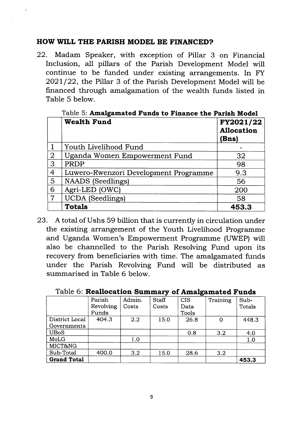#### HOW WILL THE PARISH MODEL BE FINANCED?

22. Madam Speaker, with exception of Pillar 3 on Financial Inclusion, all pillars of the Parish Development Model will continue to be funded under existing arrangements. In FY 2O2L / 22, the Pillar 3 of the Parish Development Model will be financed through amalgamation of the wealth funds listed in Table 5 below.

|   | <b>Wealth Fund</b>                    | FY2021/22<br><b>Allocation</b><br>(Bns) |
|---|---------------------------------------|-----------------------------------------|
|   | Youth Livelihood Fund                 |                                         |
| 2 | Uganda Women Empowerment Fund         | 32                                      |
| 3 | PRDP                                  | 98                                      |
| 4 | Luwero-Rwenzori Development Programme | 9.3                                     |
| 5 | <b>NAADS</b> (Seedlings)              | 56                                      |
| 6 | Agri-LED (OWC)                        | 200                                     |
| 7 | <b>UCDA</b> (Seedlings)               | 58                                      |
|   | <b>Totals</b>                         | 453.3                                   |

Table 5: Amalgamated Funds to Finance the Parish Model

23. A total of Ushs 59 billion that is currently in circulation under the existing arrangement of the Youth Livelihood Programme and Uganda Women's Empowerment Programme (UWEP) will also be channelled to the Parish Resolving Fund upon its recovery from beneficiaries with time. The amalgamated funds under the Parish Revolving Fund will be distributed as summarised in Table 6 below.

| TADIO OI <b>stomilovationi maminiai y oi imilaigainatou i anu</b> b |           |        |              |            |          |               |
|---------------------------------------------------------------------|-----------|--------|--------------|------------|----------|---------------|
|                                                                     | Parish    | Admin. | <b>Staff</b> | <b>CIS</b> | Training | Sub-          |
|                                                                     | Revolving | Costs  | Costs        | Data       |          | <b>Totals</b> |
|                                                                     | Funds     |        |              | Tools      |          |               |
| District Local                                                      | 404.3     | 2.2    | 15.0         | 26.8       | 0        | 448.3         |
| Governments                                                         |           |        |              |            |          |               |
| <b>UBoS</b>                                                         |           |        |              | 0.8        | 3.2      | 4.0           |
| MoLG                                                                |           | 1.0    |              |            |          | 1.0           |
| MICT&NG                                                             |           |        |              |            |          |               |
| Sub-Total                                                           | 400.0     | 3.2    | 15.0         | 28.6       | 3.2      |               |
| <b>Grand Total</b>                                                  |           |        |              |            |          | 453.3         |

Table 6: Reallocation Summary of Amalgamated Funds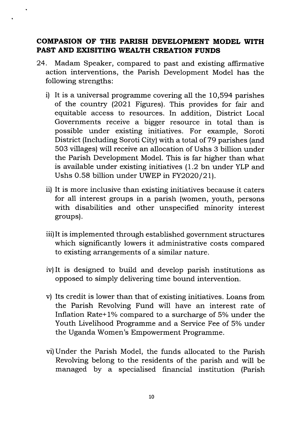### COMPASION OF THE PARISH DEVELOPMENT MODEL WITH PAST AND EXISITING WEALTH CREATION FUNDS

- 24. Madam Speaker, compared to past and existing affirmative action interventions, the Parish Development Model has the following strengths:
	- i) It is a universal programme covering all the 10,594 parishes of the country (2021 Figures). This provides for fair and equitable access to resources. In addition, District Local Governments receive a bigger resource in total than is possible under existing initiatives. For example, Soroti District (Including Soroti City) with a total of 79 parishes (and 503 villages) will receive an allocation of Ushs 3 billion under the Parish Development Model. This is far higher than what is available under existing initiatives (1.2 bn under YLP and Ushs 0.58 billion under UWEP in FY2020/21).
	- ii) It is more inclusive than existing initiatives because it caters for all interest groups in a parish (women, youth, persons with disabilities and other unspecified minority interest groups).
	- iii)It is implemented through established government structures which significantly lowers it administrative costs compared to existing arrangements of a similar nature.
	- iv) It is designed to build and develop parish institutions as opposed to simply delivering time bound intervention.
	- v) Its credit is lower than that of existing initiatives. Loans from the Parish Revolving Fund will have an interest rate of Inflation Rate+1% compared to a surcharge of  $5%$  under the Youth Livelihood Programme and a Service Fee of 5% under the Uganda Women's Empowerment Programme.
	- vi)Under the Parish Model, the funds allocated to the Parish Revolving belong to the residents of the parish and will be managed by a specialised financial institution (Parish